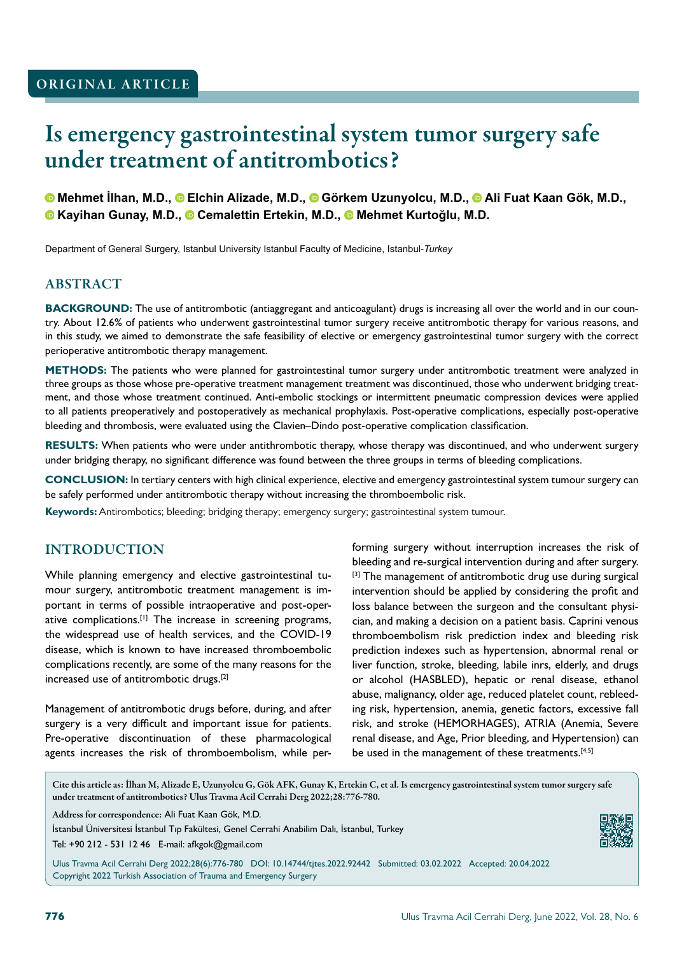# Is emergency gastrointestinal system tumor surgery safe under treatment of antitrombotics?

**Mehmet İlhan, M.D.,Elchin Alizade, M.D.,Görkem Uzunyolcu, M.D.,Ali Fuat Kaan Gök, M.D., Kayihan Gunay, M.D.,Cemalettin Ertekin, M.D.,Mehmet Kurtoğlu, M.D.**

Department of General Surgery, Istanbul University Istanbul Faculty of Medicine, Istanbul-*Turkey*

#### **ABSTRACT**

**BACKGROUND:** The use of antitrombotic (antiaggregant and anticoagulant) drugs is increasing all over the world and in our country. About 12.6% of patients who underwent gastrointestinal tumor surgery receive antitrombotic therapy for various reasons, and in this study, we aimed to demonstrate the safe feasibility of elective or emergency gastrointestinal tumor surgery with the correct perioperative antitrombotic therapy management.

**METHODS:** The patients who were planned for gastrointestinal tumor surgery under antitrombotic treatment were analyzed in three groups as those whose pre-operative treatment management treatment was discontinued, those who underwent bridging treatment, and those whose treatment continued. Anti-embolic stockings or intermittent pneumatic compression devices were applied to all patients preoperatively and postoperatively as mechanical prophylaxis. Post-operative complications, especially post-operative bleeding and thrombosis, were evaluated using the Clavien–Dindo post-operative complication classification.

**RESULTS:** When patients who were under antithrombotic therapy, whose therapy was discontinued, and who underwent surgery under bridging therapy, no significant difference was found between the three groups in terms of bleeding complications.

**CONCLUSION:** In tertiary centers with high clinical experience, elective and emergency gastrointestinal system tumour surgery can be safely performed under antitrombotic therapy without increasing the thromboembolic risk.

**Keywords:** Antirombotics; bleeding; bridging therapy; emergency surgery; gastrointestinal system tumour.

## INTRODUCTION

While planning emergency and elective gastrointestinal tumour surgery, antitrombotic treatment management is important in terms of possible intraoperative and post-operative complications.<sup>[1]</sup> The increase in screening programs, the widespread use of health services, and the COVID-19 disease, which is known to have increased thromboembolic complications recently, are some of the many reasons for the increased use of antitrombotic drugs.[2]

Management of antitrombotic drugs before, during, and after surgery is a very difficult and important issue for patients. Pre-operative discontinuation of these pharmacological agents increases the risk of thromboembolism, while performing surgery without interruption increases the risk of bleeding and re-surgical intervention during and after surgery. <sup>[3]</sup> The management of antitrombotic drug use during surgical intervention should be applied by considering the profit and loss balance between the surgeon and the consultant physician, and making a decision on a patient basis. Caprini venous thromboembolism risk prediction index and bleeding risk prediction indexes such as hypertension, abnormal renal or liver function, stroke, bleeding, labile inrs, elderly, and drugs or alcohol (HASBLED), hepatic or renal disease, ethanol abuse, malignancy, older age, reduced platelet count, rebleeding risk, hypertension, anemia, genetic factors, excessive fall risk, and stroke (HEMORHAGES), ATRIA (Anemia, Severe renal disease, and Age, Prior bleeding, and Hypertension) can be used in the management of these treatments.<sup>[4,5]</sup>

Cite this article as: İlhan M, Alizade E, Uzunyolcu G, Gök AFK, Gunay K, Ertekin C, et al. Is emergency gastrointestinal system tumor surgery safe under treatment of antitrombotics? Ulus Travma Acil Cerrahi Derg 2022;28:776-780.

Address for correspondence: Ali Fuat Kaan Gök, M.D.

İstanbul Üniversitesi İstanbul Tıp Fakültesi, Genel Cerrahi Anabilim Dalı, İstanbul, Turkey

Tel: +90 212 - 531 12 46 E-mail: afkgok@gmail.com

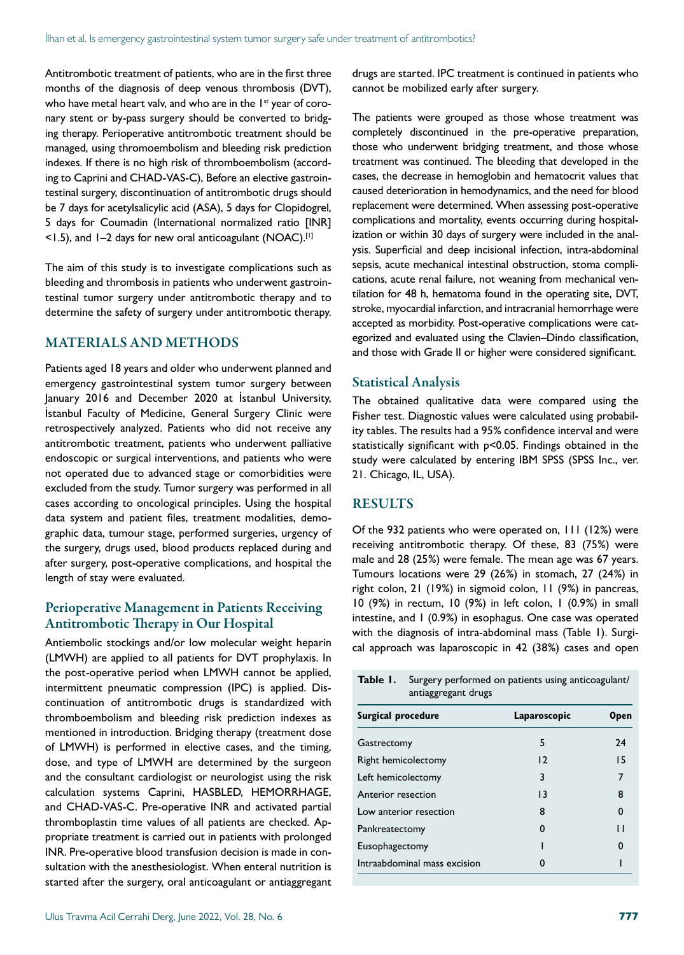Antitrombotic treatment of patients, who are in the first three months of the diagnosis of deep venous thrombosis (DVT), who have metal heart valv, and who are in the 1<sup>st</sup> year of coronary stent or by-pass surgery should be converted to bridging therapy. Perioperative antitrombotic treatment should be managed, using thromoembolism and bleeding risk prediction indexes. If there is no high risk of thromboembolism (according to Caprini and CHAD-VAS-C), Before an elective gastrointestinal surgery, discontinuation of antitrombotic drugs should be 7 days for acetylsalicylic acid (ASA), 5 days for Clopidogrel, 5 days for Coumadin (International normalized ratio [INR]  $\le$ 1.5), and 1-2 days for new oral anticoagulant (NOAC).<sup>[1]</sup>

The aim of this study is to investigate complications such as bleeding and thrombosis in patients who underwent gastrointestinal tumor surgery under antitrombotic therapy and to determine the safety of surgery under antitrombotic therapy.

#### MATERIALS AND METHODS

Patients aged 18 years and older who underwent planned and emergency gastrointestinal system tumor surgery between January 2016 and December 2020 at İstanbul University, İstanbul Faculty of Medicine, General Surgery Clinic were retrospectively analyzed. Patients who did not receive any antitrombotic treatment, patients who underwent palliative endoscopic or surgical interventions, and patients who were not operated due to advanced stage or comorbidities were excluded from the study. Tumor surgery was performed in all cases according to oncological principles. Using the hospital data system and patient files, treatment modalities, demographic data, tumour stage, performed surgeries, urgency of the surgery, drugs used, blood products replaced during and after surgery, post-operative complications, and hospital the length of stay were evaluated.

#### Perioperative Management in Patients Receiving Antitrombotic Therapy in Our Hospital

Antiembolic stockings and/or low molecular weight heparin (LMWH) are applied to all patients for DVT prophylaxis. In the post-operative period when LMWH cannot be applied, intermittent pneumatic compression (IPC) is applied. Discontinuation of antitrombotic drugs is standardized with thromboembolism and bleeding risk prediction indexes as mentioned in introduction. Bridging therapy (treatment dose of LMWH) is performed in elective cases, and the timing, dose, and type of LMWH are determined by the surgeon and the consultant cardiologist or neurologist using the risk calculation systems Caprini, HASBLED, HEMORRHAGE, and CHAD-VAS-C. Pre-operative INR and activated partial thromboplastin time values of all patients are checked. Appropriate treatment is carried out in patients with prolonged INR. Pre-operative blood transfusion decision is made in consultation with the anesthesiologist. When enteral nutrition is started after the surgery, oral anticoagulant or antiaggregant drugs are started. IPC treatment is continued in patients who cannot be mobilized early after surgery.

The patients were grouped as those whose treatment was completely discontinued in the pre-operative preparation, those who underwent bridging treatment, and those whose treatment was continued. The bleeding that developed in the cases, the decrease in hemoglobin and hematocrit values that caused deterioration in hemodynamics, and the need for blood replacement were determined. When assessing post-operative complications and mortality, events occurring during hospitalization or within 30 days of surgery were included in the analysis. Superficial and deep incisional infection, intra-abdominal sepsis, acute mechanical intestinal obstruction, stoma complications, acute renal failure, not weaning from mechanical ventilation for 48 h, hematoma found in the operating site, DVT, stroke, myocardial infarction, and intracranial hemorrhage were accepted as morbidity. Post-operative complications were categorized and evaluated using the Clavien–Dindo classification, and those with Grade II or higher were considered significant.

#### Statistical Analysis

The obtained qualitative data were compared using the Fisher test. Diagnostic values were calculated using probability tables. The results had a 95% confidence interval and were statistically significant with p<0.05. Findings obtained in the study were calculated by entering IBM SPSS (SPSS Inc., ver. 21. Chicago, IL, USA).

#### RESULTS

Of the 932 patients who were operated on, 111 (12%) were receiving antitrombotic therapy. Of these, 83 (75%) were male and 28 (25%) were female. The mean age was 67 years. Tumours locations were 29 (26%) in stomach, 27 (24%) in right colon, 21 (19%) in sigmoid colon, 11 (9%) in pancreas, 10 (9%) in rectum, 10 (9%) in left colon, 1 (0.9%) in small intestine, and 1 (0.9%) in esophagus. One case was operated with the diagnosis of intra-abdominal mass (Table 1). Surgical approach was laparoscopic in 42 (38%) cases and open

| Table I.                     | Surgery performed on patients using anticoagulant/<br>antiaggregant drugs |              |  |  |  |  |
|------------------------------|---------------------------------------------------------------------------|--------------|--|--|--|--|
| Surgical procedure           | Laparoscopic                                                              | Open         |  |  |  |  |
| Gastrectomy                  | 5                                                                         | 24           |  |  |  |  |
| Right hemicolectomy          | 12                                                                        | 15           |  |  |  |  |
| Left hemicolectomy           | 3                                                                         | 7            |  |  |  |  |
| Anterior resection           | 13                                                                        | 8            |  |  |  |  |
| Low anterior resection       | 8                                                                         | $\Omega$     |  |  |  |  |
| Pankreatectomy               | O                                                                         | $\mathsf{L}$ |  |  |  |  |
| Eusophagectomy               |                                                                           | O            |  |  |  |  |
| Intraabdominal mass excision | O                                                                         |              |  |  |  |  |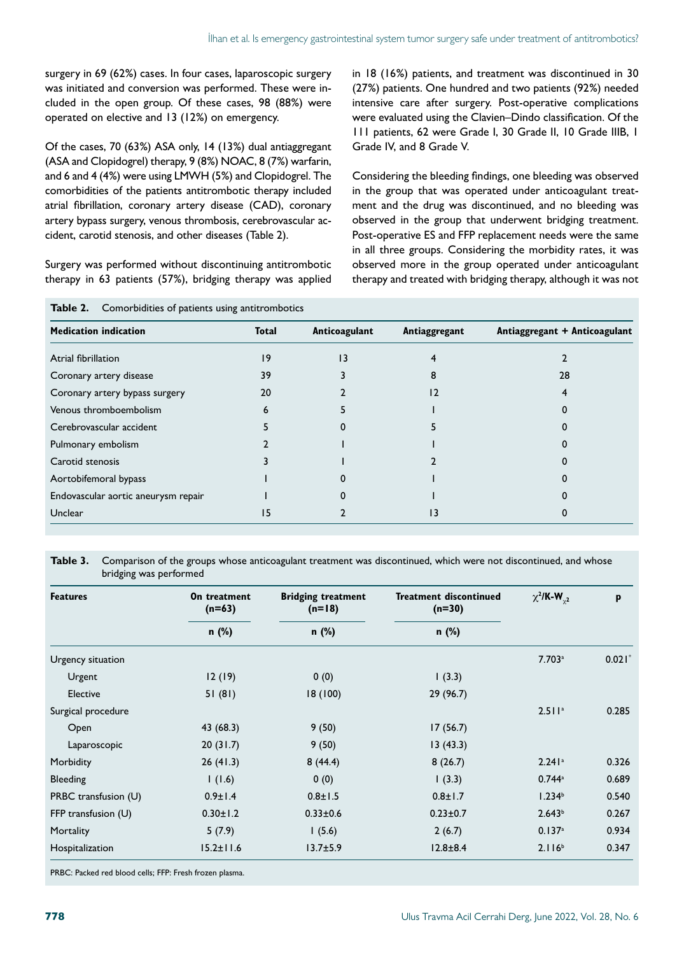surgery in 69 (62%) cases. In four cases, laparoscopic surgery was initiated and conversion was performed. These were included in the open group. Of these cases, 98 (88%) were operated on elective and 13 (12%) on emergency.

Of the cases, 70 (63%) ASA only, 14 (13%) dual antiaggregant (ASA and Clopidogrel) therapy, 9 (8%) NOAC, 8 (7%) warfarin, and 6 and 4 (4%) were using LMWH (5%) and Clopidogrel. The comorbidities of the patients antitrombotic therapy included atrial fibrillation, coronary artery disease (CAD), coronary artery bypass surgery, venous thrombosis, cerebrovascular accident, carotid stenosis, and other diseases (Table 2).

Surgery was performed without discontinuing antitrombotic therapy in 63 patients (57%), bridging therapy was applied

**Table 2.** Comorbidities of patients using antitrombotics

in 18 (16%) patients, and treatment was discontinued in 30 (27%) patients. One hundred and two patients (92%) needed intensive care after surgery. Post-operative complications were evaluated using the Clavien–Dindo classification. Of the 111 patients, 62 were Grade I, 30 Grade II, 10 Grade IIIB, 1 Grade IV, and 8 Grade V.

Considering the bleeding findings, one bleeding was observed in the group that was operated under anticoagulant treatment and the drug was discontinued, and no bleeding was observed in the group that underwent bridging treatment. Post-operative ES and FFP replacement needs were the same in all three groups. Considering the morbidity rates, it was observed more in the group operated under anticoagulant therapy and treated with bridging therapy, although it was not

| <b>Medication indication</b>        | <b>Total</b> | Anticoagulant | Antiaggregant | Antiaggregant + Anticoagulant |
|-------------------------------------|--------------|---------------|---------------|-------------------------------|
| Atrial fibrillation                 | 9            | 13            |               |                               |
| Coronary artery disease             | 39           |               | 8             | 28                            |
| Coronary artery bypass surgery      | 20           |               | 12            |                               |
| Venous thromboembolism              |              |               |               |                               |
| Cerebrovascular accident            |              |               |               |                               |
| Pulmonary embolism                  |              |               |               |                               |
| Carotid stenosis                    |              |               |               |                               |
| Aortobifemoral bypass               |              |               |               |                               |
| Endovascular aortic aneurysm repair |              |               |               |                               |
| Unclear                             | 15           |               | 13            |                               |

**Table 3.** Comparison of the groups whose anticoagulant treatment was discontinued, which were not discontinued, and whose bridging was performed

| <b>Features</b>       | On treatment<br>$(n=63)$ | <b>Bridging treatment</b><br>$(n=18)$ | Treatment discontinued<br>$(n=30)$ | $\chi^2$ /K-W <sub>y2</sub> | p        |
|-----------------------|--------------------------|---------------------------------------|------------------------------------|-----------------------------|----------|
|                       | n (%)                    | n (%)                                 | n (%)                              |                             |          |
| Urgency situation     |                          |                                       |                                    | 7.703a                      | $0.021*$ |
| Urgent                | 12(19)                   | 0(0)                                  | (3.3)                              |                             |          |
| Elective              | 51(81)                   | 18(100)                               | 29(96.7)                           |                             |          |
| Surgical procedure    |                          |                                       |                                    | 2.511a                      | 0.285    |
| Open                  | 43 (68.3)                | 9(50)                                 | 17(56.7)                           |                             |          |
| Laparoscopic          | 20(31.7)                 | 9(50)                                 | 13(43.3)                           |                             |          |
| Morbidity             | 26(41.3)                 | 8(44.4)                               | 8(26.7)                            | 2.241a                      | 0.326    |
| Bleeding              | (1.6)                    | 0(0)                                  | (3.3)                              | $0.744^a$                   | 0.689    |
| PRBC transfusion (U)  | $0.9 \pm 1.4$            | $0.8 \pm 1.5$                         | $0.8 \pm 1.7$                      | 1.234 <sup>b</sup>          | 0.540    |
| FFP transfusion $(U)$ | $0.30 \pm 1.2$           | $0.33 \pm 0.6$                        | $0.23 \pm 0.7$                     | 2.643 <sup>b</sup>          | 0.267    |
| Mortality             | 5(7.9)                   | 1(5.6)                                | 2(6.7)                             | 0.137 <sup>a</sup>          | 0.934    |
| Hospitalization       | $15.2 \pm 11.6$          | $13.7 + 5.9$                          | $12.8 \pm 8.4$                     | 2.116 <sup>b</sup>          | 0.347    |

PRBC: Packed red blood cells; FFP: Fresh frozen plasma.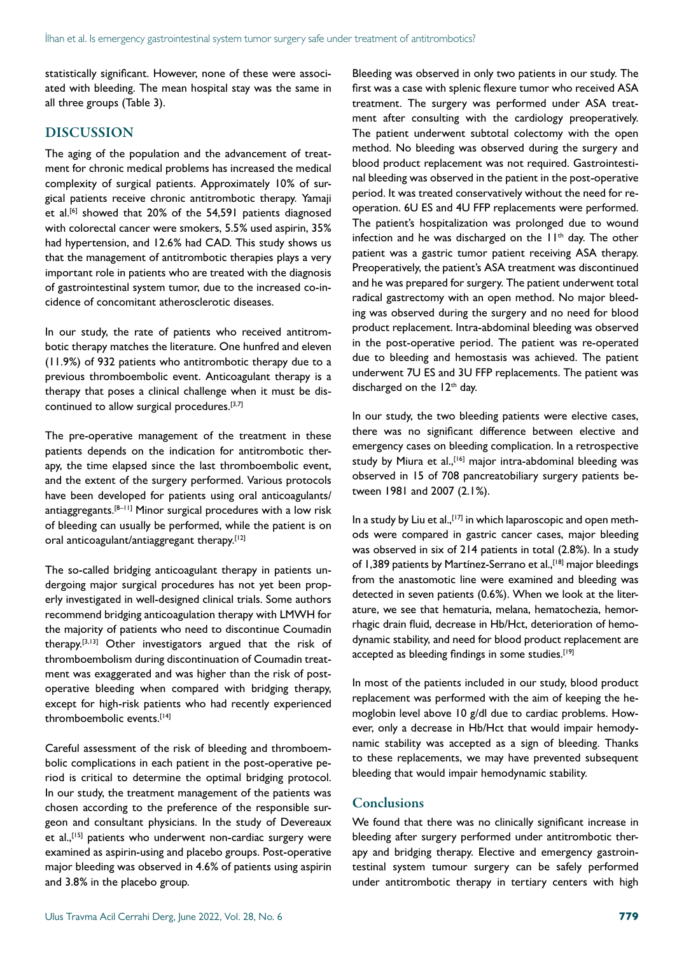statistically significant. However, none of these were associated with bleeding. The mean hospital stay was the same in all three groups (Table 3).

#### DISCUSSION

The aging of the population and the advancement of treatment for chronic medical problems has increased the medical complexity of surgical patients. Approximately 10% of surgical patients receive chronic antitrombotic therapy. Yamaji et al.<sup>[6]</sup> showed that 20% of the 54,591 patients diagnosed with colorectal cancer were smokers, 5.5% used aspirin, 35% had hypertension, and 12.6% had CAD. This study shows us that the management of antitrombotic therapies plays a very important role in patients who are treated with the diagnosis of gastrointestinal system tumor, due to the increased co-incidence of concomitant atherosclerotic diseases.

In our study, the rate of patients who received antitrombotic therapy matches the literature. One hunfred and eleven (11.9%) of 932 patients who antitrombotic therapy due to a previous thromboembolic event. Anticoagulant therapy is a therapy that poses a clinical challenge when it must be discontinued to allow surgical procedures.[3,7]

The pre-operative management of the treatment in these patients depends on the indication for antitrombotic therapy, the time elapsed since the last thromboembolic event, and the extent of the surgery performed. Various protocols have been developed for patients using oral anticoagulants/ antiaggregants.[8–11] Minor surgical procedures with a low risk of bleeding can usually be performed, while the patient is on oral anticoagulant/antiaggregant therapy.[12]

The so-called bridging anticoagulant therapy in patients undergoing major surgical procedures has not yet been properly investigated in well-designed clinical trials. Some authors recommend bridging anticoagulation therapy with LMWH for the majority of patients who need to discontinue Coumadin therapy.<sup>[3,13]</sup> Other investigators argued that the risk of thromboembolism during discontinuation of Coumadin treatment was exaggerated and was higher than the risk of postoperative bleeding when compared with bridging therapy, except for high-risk patients who had recently experienced thromboembolic events.[14]

Careful assessment of the risk of bleeding and thromboembolic complications in each patient in the post-operative period is critical to determine the optimal bridging protocol. In our study, the treatment management of the patients was chosen according to the preference of the responsible surgeon and consultant physicians. In the study of Devereaux et al.,<sup>[15]</sup> patients who underwent non-cardiac surgery were examined as aspirin-using and placebo groups. Post-operative major bleeding was observed in 4.6% of patients using aspirin and 3.8% in the placebo group.

Bleeding was observed in only two patients in our study. The first was a case with splenic flexure tumor who received ASA treatment. The surgery was performed under ASA treatment after consulting with the cardiology preoperatively. The patient underwent subtotal colectomy with the open method. No bleeding was observed during the surgery and blood product replacement was not required. Gastrointestinal bleeding was observed in the patient in the post-operative period. It was treated conservatively without the need for reoperation. 6U ES and 4U FFP replacements were performed. The patient's hospitalization was prolonged due to wound infection and he was discharged on the  $11<sup>th</sup>$  day. The other patient was a gastric tumor patient receiving ASA therapy. Preoperatively, the patient's ASA treatment was discontinued and he was prepared for surgery. The patient underwent total radical gastrectomy with an open method. No major bleeding was observed during the surgery and no need for blood product replacement. Intra-abdominal bleeding was observed in the post-operative period. The patient was re-operated due to bleeding and hemostasis was achieved. The patient underwent 7U ES and 3U FFP replacements. The patient was discharged on the 12<sup>th</sup> day.

In our study, the two bleeding patients were elective cases, there was no significant difference between elective and emergency cases on bleeding complication. In a retrospective study by Miura et al.,<sup>[16]</sup> major intra-abdominal bleeding was observed in 15 of 708 pancreatobiliary surgery patients between 1981 and 2007 (2.1%).

In a study by Liu et al., [17] in which laparoscopic and open methods were compared in gastric cancer cases, major bleeding was observed in six of 214 patients in total (2.8%). In a study of 1,389 patients by Martínez-Serrano et al.,<sup>[18]</sup> major bleedings from the anastomotic line were examined and bleeding was detected in seven patients (0.6%). When we look at the literature, we see that hematuria, melana, hematochezia, hemorrhagic drain fluid, decrease in Hb/Hct, deterioration of hemodynamic stability, and need for blood product replacement are accepted as bleeding findings in some studies.<sup>[19]</sup>

In most of the patients included in our study, blood product replacement was performed with the aim of keeping the hemoglobin level above 10 g/dl due to cardiac problems. However, only a decrease in Hb/Hct that would impair hemodynamic stability was accepted as a sign of bleeding. Thanks to these replacements, we may have prevented subsequent bleeding that would impair hemodynamic stability.

## **Conclusions**

We found that there was no clinically significant increase in bleeding after surgery performed under antitrombotic therapy and bridging therapy. Elective and emergency gastrointestinal system tumour surgery can be safely performed under antitrombotic therapy in tertiary centers with high